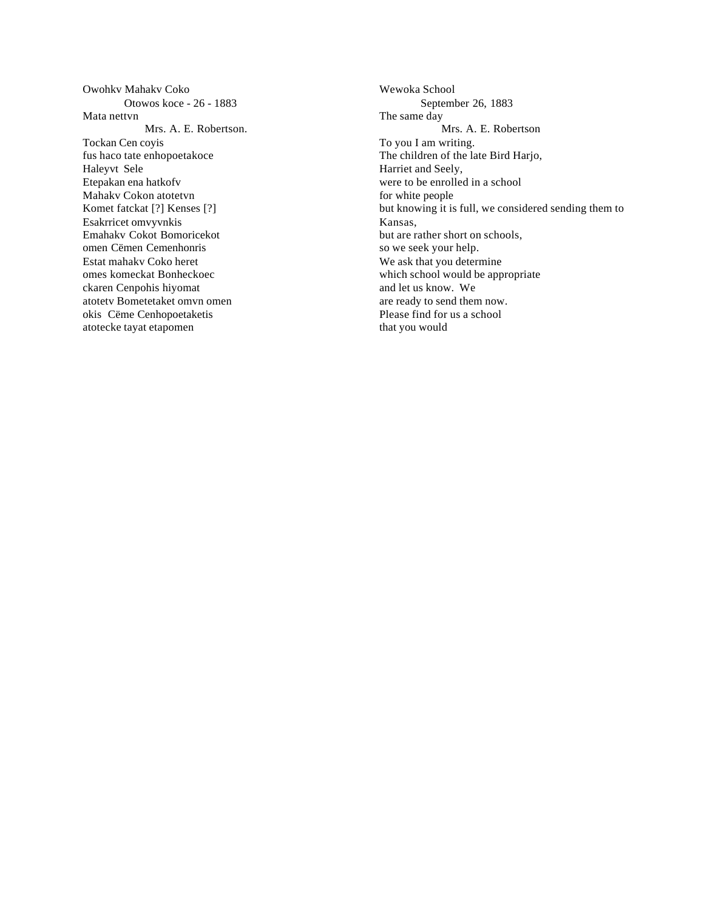Owohkv Mahakv Coko Otowos koce - 26 - 1883 Mata nettvn Mrs. A. E. Robertson. Tockan Cen coyis fus haco tate enhopoetakoce Haleyvt Sele Etepakan ena hatkofv Mahakv Cokon atotetvn Komet fatckat [?] Kenses [?] Esakrricet omvyvnkis Emahakv Cokot Bomoricekot omen Cëmen Cemenhonris Estat mahakv Coko heret omes komeckat Bonheckoec ckaren Cenpohis hiyomat atotetv Bometetaket omvn omen okis Cëme Cenhopoetaketis atotecke tayat etapomen

Wewoka School September 26, 1883 The same day Mrs. A. E. Robertson To you I am writing. The children of the late Bird Harjo, Harriet and Seely, were to be enrolled in a school for white people but knowing it is full, we considered sending them to Kansas, but are rather short on schools, so we seek your help. We ask that you determine which school would be appropriate and let us know.We are ready to send them now. Please find for us a school that you would